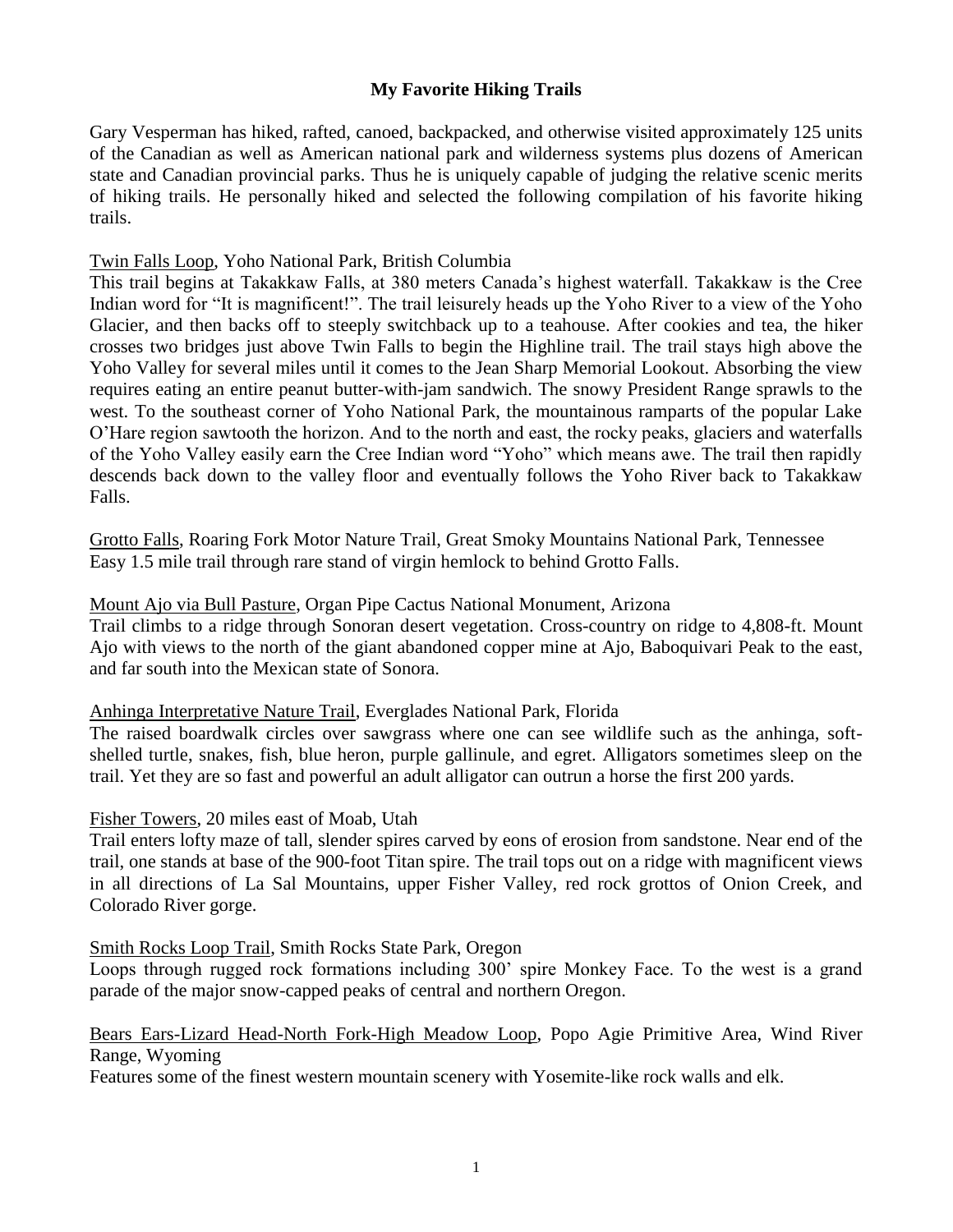# **My Favorite Hiking Trails**

Gary Vesperman has hiked, rafted, canoed, backpacked, and otherwise visited approximately 125 units of the Canadian as well as American national park and wilderness systems plus dozens of American state and Canadian provincial parks. Thus he is uniquely capable of judging the relative scenic merits of hiking trails. He personally hiked and selected the following compilation of his favorite hiking trails.

### Twin Falls Loop, Yoho National Park, British Columbia

This trail begins at Takakkaw Falls, at 380 meters Canada's highest waterfall. Takakkaw is the Cree Indian word for "It is magnificent!". The trail leisurely heads up the Yoho River to a view of the Yoho Glacier, and then backs off to steeply switchback up to a teahouse. After cookies and tea, the hiker crosses two bridges just above Twin Falls to begin the Highline trail. The trail stays high above the Yoho Valley for several miles until it comes to the Jean Sharp Memorial Lookout. Absorbing the view requires eating an entire peanut butter-with-jam sandwich. The snowy President Range sprawls to the west. To the southeast corner of Yoho National Park, the mountainous ramparts of the popular Lake O'Hare region sawtooth the horizon. And to the north and east, the rocky peaks, glaciers and waterfalls of the Yoho Valley easily earn the Cree Indian word "Yoho" which means awe. The trail then rapidly descends back down to the valley floor and eventually follows the Yoho River back to Takakkaw Falls.

Grotto Falls, Roaring Fork Motor Nature Trail, Great Smoky Mountains National Park, Tennessee Easy 1.5 mile trail through rare stand of virgin hemlock to behind Grotto Falls.

### Mount Ajo via Bull Pasture, Organ Pipe Cactus National Monument, Arizona

Trail climbs to a ridge through Sonoran desert vegetation. Cross-country on ridge to 4,808-ft. Mount Ajo with views to the north of the giant abandoned copper mine at Ajo, Baboquivari Peak to the east, and far south into the Mexican state of Sonora.

### Anhinga Interpretative Nature Trail, Everglades National Park, Florida

The raised boardwalk circles over sawgrass where one can see wildlife such as the anhinga, softshelled turtle, snakes, fish, blue heron, purple gallinule, and egret. Alligators sometimes sleep on the trail. Yet they are so fast and powerful an adult alligator can outrun a horse the first 200 yards.

### Fisher Towers, 20 miles east of Moab, Utah

Trail enters lofty maze of tall, slender spires carved by eons of erosion from sandstone. Near end of the trail, one stands at base of the 900-foot Titan spire. The trail tops out on a ridge with magnificent views in all directions of La Sal Mountains, upper Fisher Valley, red rock grottos of Onion Creek, and Colorado River gorge.

### Smith Rocks Loop Trail, Smith Rocks State Park, Oregon

Loops through rugged rock formations including 300' spire Monkey Face. To the west is a grand parade of the major snow-capped peaks of central and northern Oregon.

## Bears Ears-Lizard Head-North Fork-High Meadow Loop, Popo Agie Primitive Area, Wind River Range, Wyoming

Features some of the finest western mountain scenery with Yosemite-like rock walls and elk.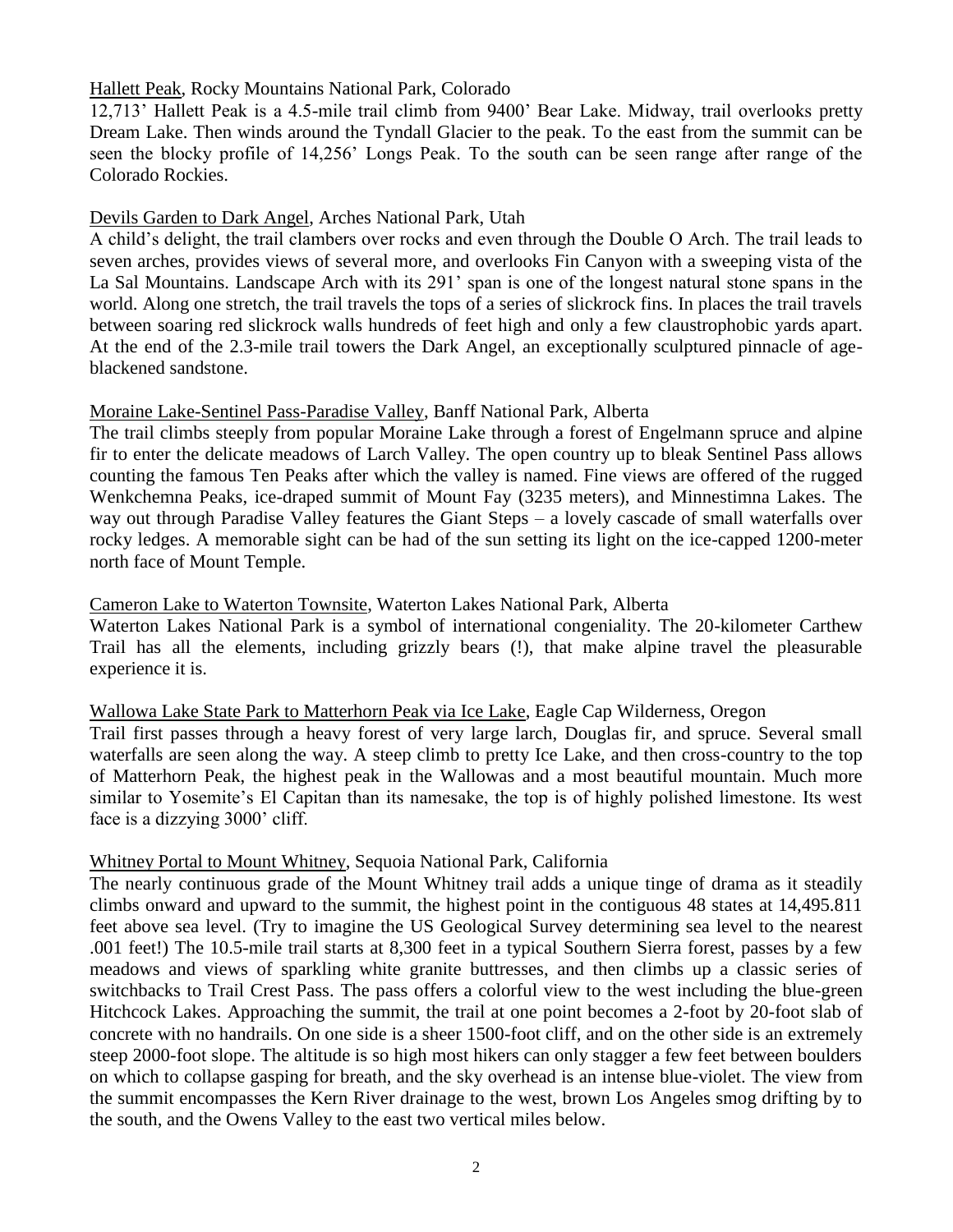### Hallett Peak, Rocky Mountains National Park, Colorado

12,713' Hallett Peak is a 4.5-mile trail climb from 9400' Bear Lake. Midway, trail overlooks pretty Dream Lake. Then winds around the Tyndall Glacier to the peak. To the east from the summit can be seen the blocky profile of 14,256' Longs Peak. To the south can be seen range after range of the Colorado Rockies.

## Devils Garden to Dark Angel, Arches National Park, Utah

A child's delight, the trail clambers over rocks and even through the Double O Arch. The trail leads to seven arches, provides views of several more, and overlooks Fin Canyon with a sweeping vista of the La Sal Mountains. Landscape Arch with its 291' span is one of the longest natural stone spans in the world. Along one stretch, the trail travels the tops of a series of slickrock fins. In places the trail travels between soaring red slickrock walls hundreds of feet high and only a few claustrophobic yards apart. At the end of the 2.3-mile trail towers the Dark Angel, an exceptionally sculptured pinnacle of ageblackened sandstone.

### Moraine Lake-Sentinel Pass-Paradise Valley, Banff National Park, Alberta

The trail climbs steeply from popular Moraine Lake through a forest of Engelmann spruce and alpine fir to enter the delicate meadows of Larch Valley. The open country up to bleak Sentinel Pass allows counting the famous Ten Peaks after which the valley is named. Fine views are offered of the rugged Wenkchemna Peaks, ice-draped summit of Mount Fay (3235 meters), and Minnestimna Lakes. The way out through Paradise Valley features the Giant Steps – a lovely cascade of small waterfalls over rocky ledges. A memorable sight can be had of the sun setting its light on the ice-capped 1200-meter north face of Mount Temple.

## Cameron Lake to Waterton Townsite, Waterton Lakes National Park, Alberta

Waterton Lakes National Park is a symbol of international congeniality. The 20-kilometer Carthew Trail has all the elements, including grizzly bears (!), that make alpine travel the pleasurable experience it is.

### Wallowa Lake State Park to Matterhorn Peak via Ice Lake, Eagle Cap Wilderness, Oregon

Trail first passes through a heavy forest of very large larch, Douglas fir, and spruce. Several small waterfalls are seen along the way. A steep climb to pretty Ice Lake, and then cross-country to the top of Matterhorn Peak, the highest peak in the Wallowas and a most beautiful mountain. Much more similar to Yosemite's El Capitan than its namesake, the top is of highly polished limestone. Its west face is a dizzying 3000' cliff.

### Whitney Portal to Mount Whitney, Sequoia National Park, California

The nearly continuous grade of the Mount Whitney trail adds a unique tinge of drama as it steadily climbs onward and upward to the summit, the highest point in the contiguous 48 states at 14,495.811 feet above sea level. (Try to imagine the US Geological Survey determining sea level to the nearest .001 feet!) The 10.5-mile trail starts at 8,300 feet in a typical Southern Sierra forest, passes by a few meadows and views of sparkling white granite buttresses, and then climbs up a classic series of switchbacks to Trail Crest Pass. The pass offers a colorful view to the west including the blue-green Hitchcock Lakes. Approaching the summit, the trail at one point becomes a 2-foot by 20-foot slab of concrete with no handrails. On one side is a sheer 1500-foot cliff, and on the other side is an extremely steep 2000-foot slope. The altitude is so high most hikers can only stagger a few feet between boulders on which to collapse gasping for breath, and the sky overhead is an intense blue-violet. The view from the summit encompasses the Kern River drainage to the west, brown Los Angeles smog drifting by to the south, and the Owens Valley to the east two vertical miles below.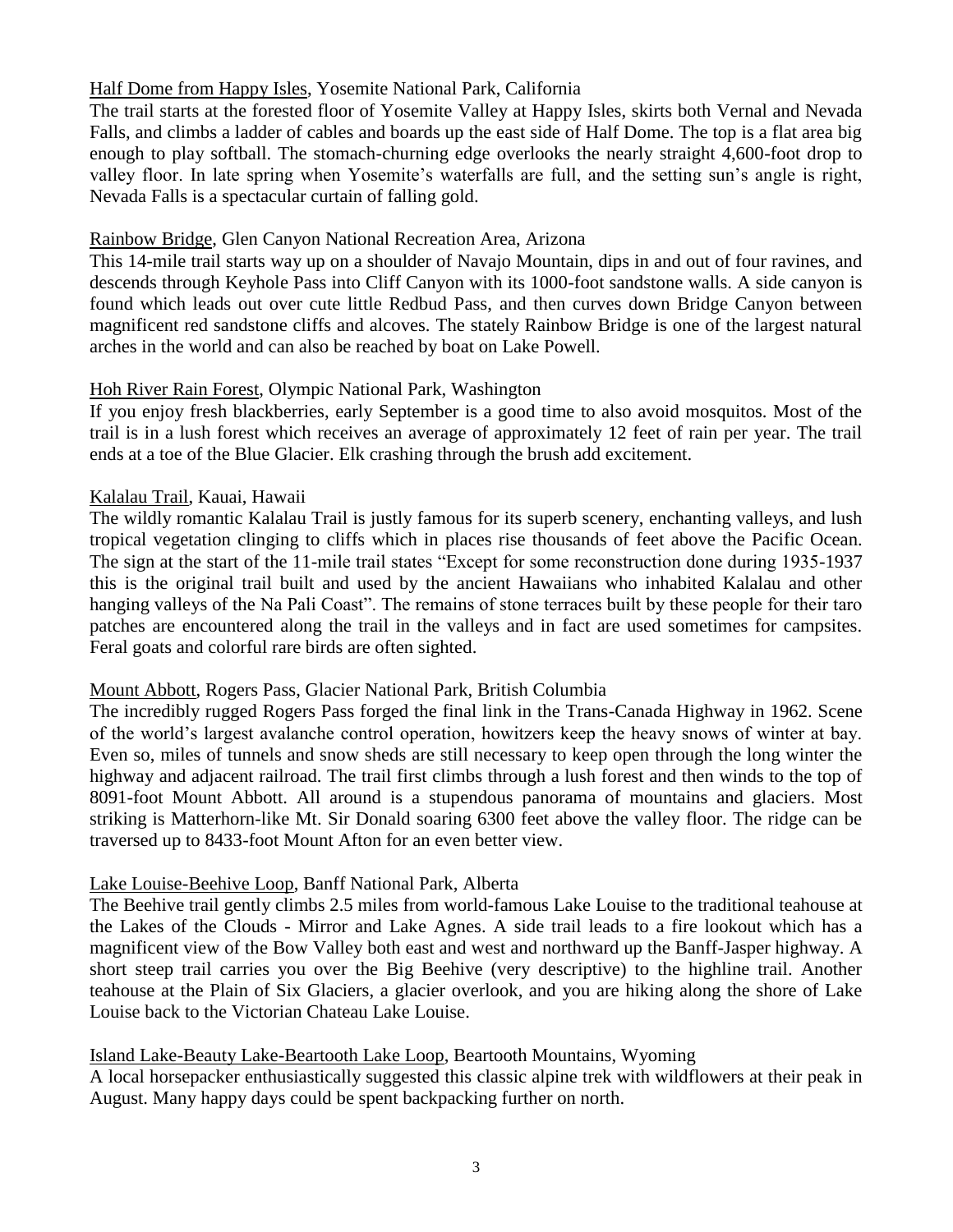## Half Dome from Happy Isles, Yosemite National Park, California

The trail starts at the forested floor of Yosemite Valley at Happy Isles, skirts both Vernal and Nevada Falls, and climbs a ladder of cables and boards up the east side of Half Dome. The top is a flat area big enough to play softball. The stomach-churning edge overlooks the nearly straight 4,600-foot drop to valley floor. In late spring when Yosemite's waterfalls are full, and the setting sun's angle is right, Nevada Falls is a spectacular curtain of falling gold.

### Rainbow Bridge, Glen Canyon National Recreation Area, Arizona

This 14-mile trail starts way up on a shoulder of Navajo Mountain, dips in and out of four ravines, and descends through Keyhole Pass into Cliff Canyon with its 1000-foot sandstone walls. A side canyon is found which leads out over cute little Redbud Pass, and then curves down Bridge Canyon between magnificent red sandstone cliffs and alcoves. The stately Rainbow Bridge is one of the largest natural arches in the world and can also be reached by boat on Lake Powell.

## Hoh River Rain Forest, Olympic National Park, Washington

If you enjoy fresh blackberries, early September is a good time to also avoid mosquitos. Most of the trail is in a lush forest which receives an average of approximately 12 feet of rain per year. The trail ends at a toe of the Blue Glacier. Elk crashing through the brush add excitement.

## Kalalau Trail, Kauai, Hawaii

The wildly romantic Kalalau Trail is justly famous for its superb scenery, enchanting valleys, and lush tropical vegetation clinging to cliffs which in places rise thousands of feet above the Pacific Ocean. The sign at the start of the 11-mile trail states "Except for some reconstruction done during 1935-1937 this is the original trail built and used by the ancient Hawaiians who inhabited Kalalau and other hanging valleys of the Na Pali Coast". The remains of stone terraces built by these people for their taro patches are encountered along the trail in the valleys and in fact are used sometimes for campsites. Feral goats and colorful rare birds are often sighted.

### Mount Abbott, Rogers Pass, Glacier National Park, British Columbia

The incredibly rugged Rogers Pass forged the final link in the Trans-Canada Highway in 1962. Scene of the world's largest avalanche control operation, howitzers keep the heavy snows of winter at bay. Even so, miles of tunnels and snow sheds are still necessary to keep open through the long winter the highway and adjacent railroad. The trail first climbs through a lush forest and then winds to the top of 8091-foot Mount Abbott. All around is a stupendous panorama of mountains and glaciers. Most striking is Matterhorn-like Mt. Sir Donald soaring 6300 feet above the valley floor. The ridge can be traversed up to 8433-foot Mount Afton for an even better view.

### Lake Louise-Beehive Loop, Banff National Park, Alberta

The Beehive trail gently climbs 2.5 miles from world-famous Lake Louise to the traditional teahouse at the Lakes of the Clouds - Mirror and Lake Agnes. A side trail leads to a fire lookout which has a magnificent view of the Bow Valley both east and west and northward up the Banff-Jasper highway. A short steep trail carries you over the Big Beehive (very descriptive) to the highline trail. Another teahouse at the Plain of Six Glaciers, a glacier overlook, and you are hiking along the shore of Lake Louise back to the Victorian Chateau Lake Louise.

# Island Lake-Beauty Lake-Beartooth Lake Loop, Beartooth Mountains, Wyoming

A local horsepacker enthusiastically suggested this classic alpine trek with wildflowers at their peak in August. Many happy days could be spent backpacking further on north.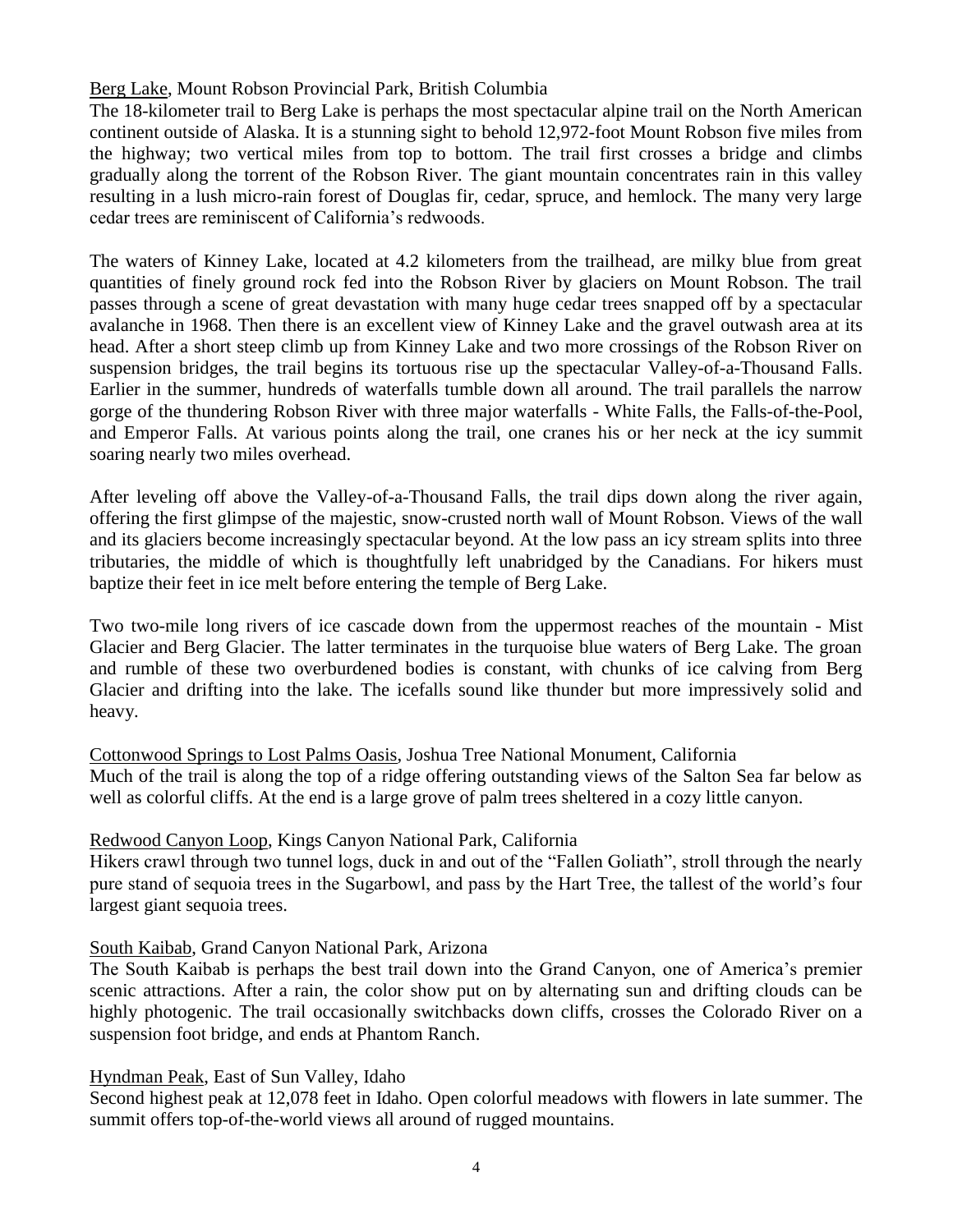## Berg Lake, Mount Robson Provincial Park, British Columbia

The 18-kilometer trail to Berg Lake is perhaps the most spectacular alpine trail on the North American continent outside of Alaska. It is a stunning sight to behold 12,972-foot Mount Robson five miles from the highway; two vertical miles from top to bottom. The trail first crosses a bridge and climbs gradually along the torrent of the Robson River. The giant mountain concentrates rain in this valley resulting in a lush micro-rain forest of Douglas fir, cedar, spruce, and hemlock. The many very large cedar trees are reminiscent of California's redwoods.

The waters of Kinney Lake, located at 4.2 kilometers from the trailhead, are milky blue from great quantities of finely ground rock fed into the Robson River by glaciers on Mount Robson. The trail passes through a scene of great devastation with many huge cedar trees snapped off by a spectacular avalanche in 1968. Then there is an excellent view of Kinney Lake and the gravel outwash area at its head. After a short steep climb up from Kinney Lake and two more crossings of the Robson River on suspension bridges, the trail begins its tortuous rise up the spectacular Valley-of-a-Thousand Falls. Earlier in the summer, hundreds of waterfalls tumble down all around. The trail parallels the narrow gorge of the thundering Robson River with three major waterfalls - White Falls, the Falls-of-the-Pool, and Emperor Falls. At various points along the trail, one cranes his or her neck at the icy summit soaring nearly two miles overhead.

After leveling off above the Valley-of-a-Thousand Falls, the trail dips down along the river again, offering the first glimpse of the majestic, snow-crusted north wall of Mount Robson. Views of the wall and its glaciers become increasingly spectacular beyond. At the low pass an icy stream splits into three tributaries, the middle of which is thoughtfully left unabridged by the Canadians. For hikers must baptize their feet in ice melt before entering the temple of Berg Lake.

Two two-mile long rivers of ice cascade down from the uppermost reaches of the mountain - Mist Glacier and Berg Glacier. The latter terminates in the turquoise blue waters of Berg Lake. The groan and rumble of these two overburdened bodies is constant, with chunks of ice calving from Berg Glacier and drifting into the lake. The icefalls sound like thunder but more impressively solid and heavy.

Cottonwood Springs to Lost Palms Oasis, Joshua Tree National Monument, California Much of the trail is along the top of a ridge offering outstanding views of the Salton Sea far below as well as colorful cliffs. At the end is a large grove of palm trees sheltered in a cozy little canyon.

### Redwood Canyon Loop, Kings Canyon National Park, California

Hikers crawl through two tunnel logs, duck in and out of the "Fallen Goliath", stroll through the nearly pure stand of sequoia trees in the Sugarbowl, and pass by the Hart Tree, the tallest of the world's four largest giant sequoia trees.

### South Kaibab, Grand Canyon National Park, Arizona

The South Kaibab is perhaps the best trail down into the Grand Canyon, one of America's premier scenic attractions. After a rain, the color show put on by alternating sun and drifting clouds can be highly photogenic. The trail occasionally switchbacks down cliffs, crosses the Colorado River on a suspension foot bridge, and ends at Phantom Ranch.

Hyndman Peak, East of Sun Valley, Idaho

Second highest peak at 12,078 feet in Idaho. Open colorful meadows with flowers in late summer. The summit offers top-of-the-world views all around of rugged mountains.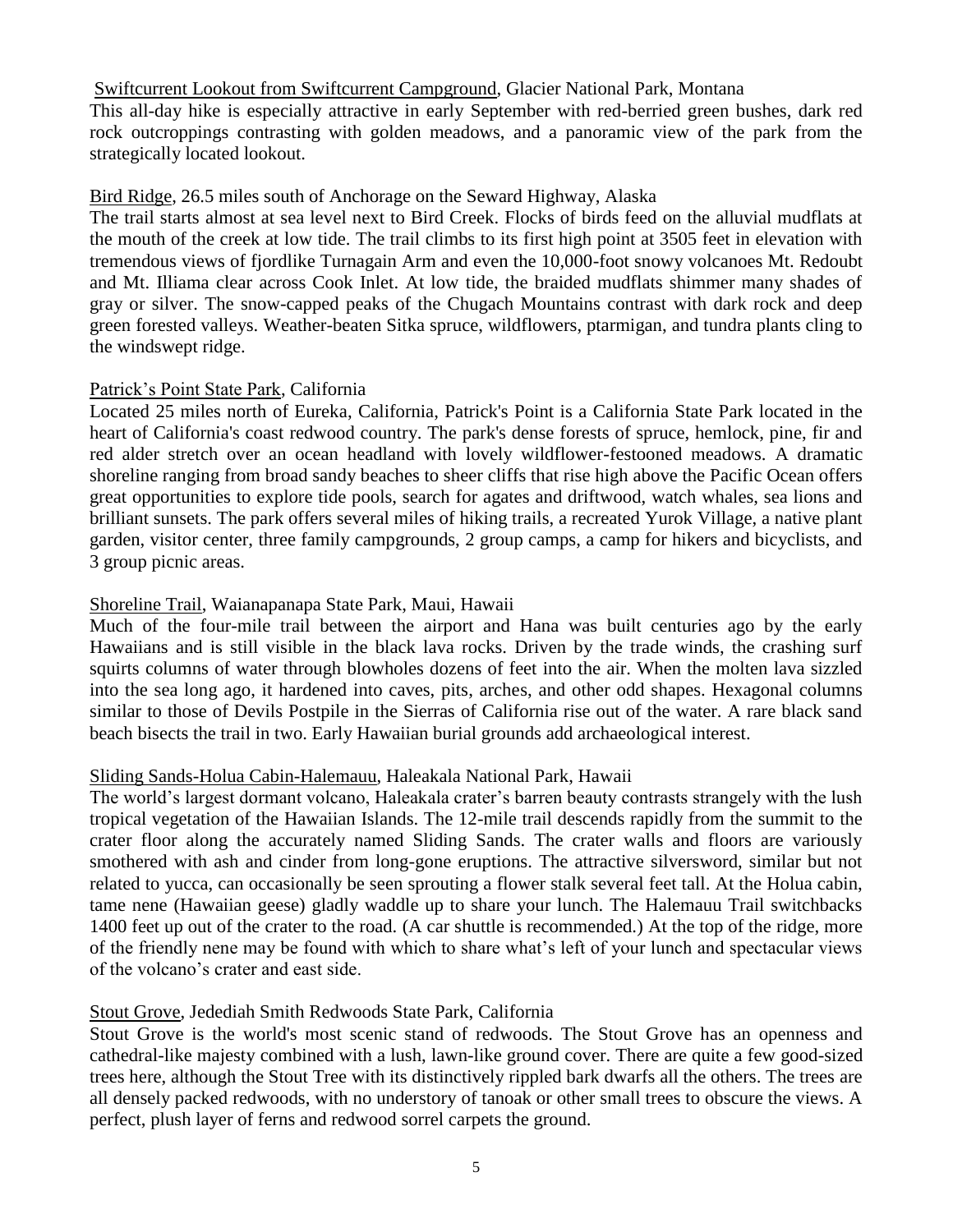### Swiftcurrent Lookout from Swiftcurrent Campground, Glacier National Park, Montana

This all-day hike is especially attractive in early September with red-berried green bushes, dark red rock outcroppings contrasting with golden meadows, and a panoramic view of the park from the strategically located lookout.

#### Bird Ridge, 26.5 miles south of Anchorage on the Seward Highway, Alaska

The trail starts almost at sea level next to Bird Creek. Flocks of birds feed on the alluvial mudflats at the mouth of the creek at low tide. The trail climbs to its first high point at 3505 feet in elevation with tremendous views of fjordlike Turnagain Arm and even the 10,000-foot snowy volcanoes Mt. Redoubt and Mt. Illiama clear across Cook Inlet. At low tide, the braided mudflats shimmer many shades of gray or silver. The snow-capped peaks of the Chugach Mountains contrast with dark rock and deep green forested valleys. Weather-beaten Sitka spruce, wildflowers, ptarmigan, and tundra plants cling to the windswept ridge.

#### Patrick's Point State Park, California

Located 25 miles north of Eureka, California, Patrick's Point is a California State Park located in the heart of California's coast redwood country. The park's dense forests of spruce, hemlock, pine, fir and red alder stretch over an ocean headland with lovely wildflower-festooned meadows. A dramatic shoreline ranging from broad sandy beaches to sheer cliffs that rise high above the Pacific Ocean offers great opportunities to explore tide pools, search for agates and driftwood, watch whales, sea lions and brilliant sunsets. The park offers several miles of hiking trails, a recreated Yurok Village, a native plant garden, visitor center, three family campgrounds, 2 group camps, a camp for hikers and bicyclists, and 3 group picnic areas.

### Shoreline Trail, Waianapanapa State Park, Maui, Hawaii

Much of the four-mile trail between the airport and Hana was built centuries ago by the early Hawaiians and is still visible in the black lava rocks. Driven by the trade winds, the crashing surf squirts columns of water through blowholes dozens of feet into the air. When the molten lava sizzled into the sea long ago, it hardened into caves, pits, arches, and other odd shapes. Hexagonal columns similar to those of Devils Postpile in the Sierras of California rise out of the water. A rare black sand beach bisects the trail in two. Early Hawaiian burial grounds add archaeological interest.

### Sliding Sands-Holua Cabin-Halemauu, Haleakala National Park, Hawaii

The world's largest dormant volcano, Haleakala crater's barren beauty contrasts strangely with the lush tropical vegetation of the Hawaiian Islands. The 12-mile trail descends rapidly from the summit to the crater floor along the accurately named Sliding Sands. The crater walls and floors are variously smothered with ash and cinder from long-gone eruptions. The attractive silversword, similar but not related to yucca, can occasionally be seen sprouting a flower stalk several feet tall. At the Holua cabin, tame nene (Hawaiian geese) gladly waddle up to share your lunch. The Halemauu Trail switchbacks 1400 feet up out of the crater to the road. (A car shuttle is recommended.) At the top of the ridge, more of the friendly nene may be found with which to share what's left of your lunch and spectacular views of the volcano's crater and east side.

### Stout Grove, Jedediah Smith Redwoods State Park, California

Stout Grove is the world's most scenic stand of redwoods. The Stout Grove has an openness and cathedral-like majesty combined with a lush, lawn-like ground cover. There are quite a few good-sized trees here, although the Stout Tree with its distinctively rippled bark dwarfs all the others. The trees are all densely packed redwoods, with no understory of tanoak or other small trees to obscure the views. A perfect, plush layer of ferns and redwood sorrel carpets the ground.